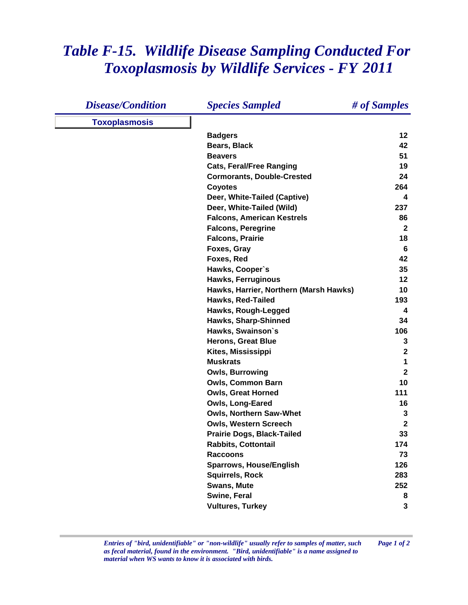## *Table F-15. Wildlife Disease Sampling Conducted For Toxoplasmosis by Wildlife Services - FY 2011*

| <b>Disease/Condition</b> | <b>Species Sampled</b>                 | # of Samples   |
|--------------------------|----------------------------------------|----------------|
| <b>Toxoplasmosis</b>     |                                        |                |
|                          | <b>Badgers</b>                         | 12             |
|                          | <b>Bears, Black</b>                    | 42             |
|                          | <b>Beavers</b>                         | 51             |
|                          | <b>Cats, Feral/Free Ranging</b>        | 19             |
|                          | <b>Cormorants, Double-Crested</b>      | 24             |
|                          | <b>Coyotes</b>                         | 264            |
|                          | Deer, White-Tailed (Captive)           | 4              |
|                          | Deer, White-Tailed (Wild)              | 237            |
|                          | <b>Falcons, American Kestrels</b>      | 86             |
|                          | <b>Falcons, Peregrine</b>              | $\mathbf{2}$   |
|                          | <b>Falcons, Prairie</b>                | 18             |
|                          | Foxes, Gray                            | 6              |
|                          | Foxes, Red                             | 42             |
|                          | Hawks, Cooper's                        | 35             |
|                          | <b>Hawks, Ferruginous</b>              | 12             |
|                          | Hawks, Harrier, Northern (Marsh Hawks) | 10             |
|                          | Hawks, Red-Tailed                      | 193            |
|                          | Hawks, Rough-Legged                    | 4              |
|                          | Hawks, Sharp-Shinned                   | 34             |
|                          | Hawks, Swainson's                      | 106            |
|                          | <b>Herons, Great Blue</b>              | 3              |
|                          | Kites, Mississippi                     | $\mathbf{2}$   |
|                          | <b>Muskrats</b>                        | 1              |
|                          | <b>Owls, Burrowing</b>                 | $\overline{2}$ |
|                          | <b>Owls, Common Barn</b>               | 10             |
|                          | <b>Owls, Great Horned</b>              | 111            |
|                          | Owls, Long-Eared                       | 16             |
|                          | Owls, Northern Saw-Whet                | 3              |
|                          | <b>Owls, Western Screech</b>           | $\mathbf{2}$   |
|                          | <b>Prairie Dogs, Black-Tailed</b>      | 33             |
|                          | <b>Rabbits, Cottontail</b>             | 174            |
|                          | <b>Raccoons</b>                        | 73             |
|                          | <b>Sparrows, House/English</b>         | 126            |
|                          | <b>Squirrels, Rock</b>                 | 283            |
|                          | <b>Swans, Mute</b>                     | 252            |
|                          | Swine, Feral                           | 8              |
|                          | <b>Vultures, Turkey</b>                | 3              |